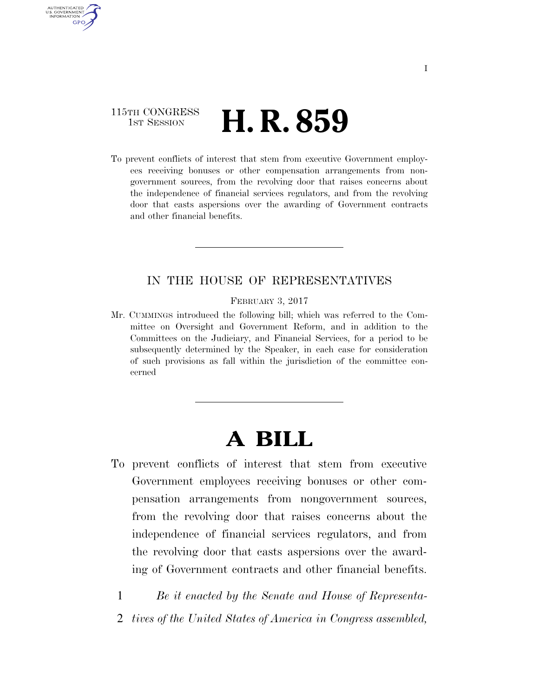### 115TH CONGRESS **1st Session H. R. 859**

AUTHENTICATED U.S. GOVERNMENT<br>NFORMATION **GPO** 

> To prevent conflicts of interest that stem from executive Government employees receiving bonuses or other compensation arrangements from nongovernment sources, from the revolving door that raises concerns about the independence of financial services regulators, and from the revolving door that casts aspersions over the awarding of Government contracts and other financial benefits.

#### IN THE HOUSE OF REPRESENTATIVES

FEBRUARY 3, 2017

Mr. CUMMINGS introduced the following bill; which was referred to the Committee on Oversight and Government Reform, and in addition to the Committees on the Judiciary, and Financial Services, for a period to be subsequently determined by the Speaker, in each case for consideration of such provisions as fall within the jurisdiction of the committee concerned

# **A BILL**

To prevent conflicts of interest that stem from executive Government employees receiving bonuses or other compensation arrangements from nongovernment sources, from the revolving door that raises concerns about the independence of financial services regulators, and from the revolving door that casts aspersions over the awarding of Government contracts and other financial benefits.

1 *Be it enacted by the Senate and House of Representa-*

2 *tives of the United States of America in Congress assembled,*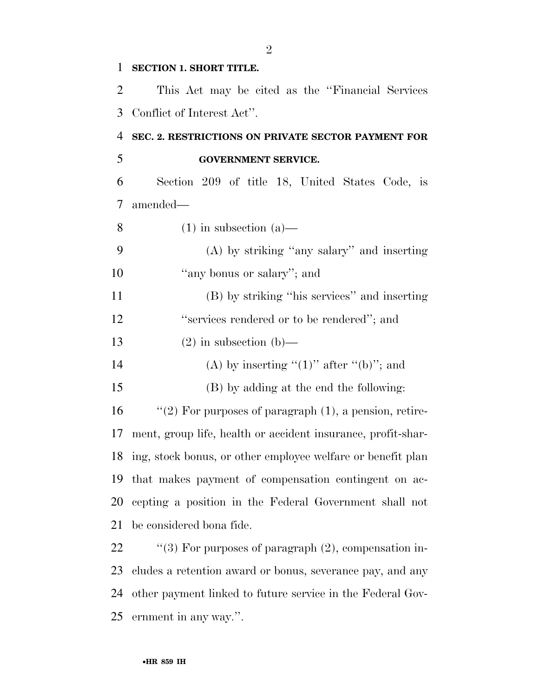#### **SECTION 1. SHORT TITLE.**

 This Act may be cited as the ''Financial Services Conflict of Interest Act''.

### **SEC. 2. RESTRICTIONS ON PRIVATE SECTOR PAYMENT FOR GOVERNMENT SERVICE.**

 Section 209 of title 18, United States Code, is amended—

8 (1) in subsection  $(a)$ —

 (A) by striking ''any salary'' and inserting 10  $\qquad$  "any bonus or salary"; and

 (B) by striking ''his services'' and inserting 12 "services rendered or to be rendered"; and

- 13 (2) in subsection (b)—
- 14 (A) by inserting " $(1)$ " after " $(b)$ "; and
- (B) by adding at the end the following:

 ''(2) For purposes of paragraph (1), a pension, retire- ment, group life, health or accident insurance, profit-shar- ing, stock bonus, or other employee welfare or benefit plan that makes payment of compensation contingent on ac- cepting a position in the Federal Government shall not be considered bona fide.

 $\qquad$  "(3) For purposes of paragraph (2), compensation in- cludes a retention award or bonus, severance pay, and any other payment linked to future service in the Federal Gov-ernment in any way.''.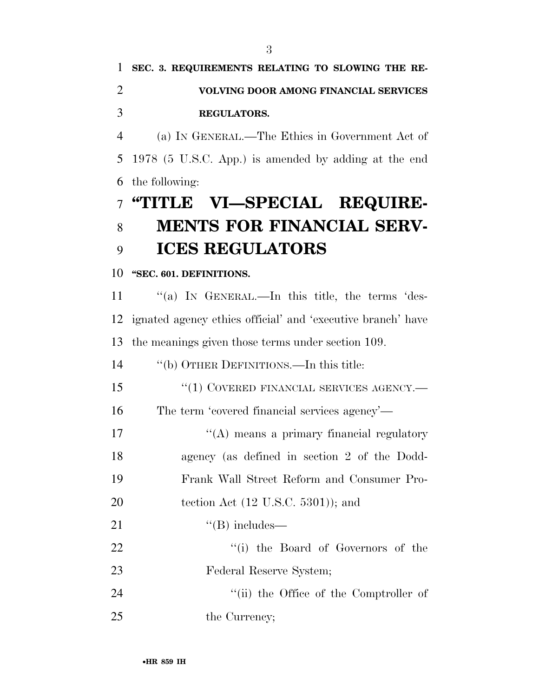## **SEC. 3. REQUIREMENTS RELATING TO SLOWING THE RE- VOLVING DOOR AMONG FINANCIAL SERVICES REGULATORS.**

 (a) IN GENERAL.—The Ethics in Government Act of 1978 (5 U.S.C. App.) is amended by adding at the end the following:

# **''TITLE VI—SPECIAL REQUIRE- MENTS FOR FINANCIAL SERV-ICES REGULATORS**

### **''SEC. 601. DEFINITIONS.**

11 "(a) IN GENERAL.—In this title, the terms 'des- ignated agency ethics official' and 'executive branch' have the meanings given those terms under section 109.

''(b) OTHER DEFINITIONS.—In this title:

15 "(1) COVERED FINANCIAL SERVICES AGENCY.—

The term 'covered financial services agency'—

17 ''(A) means a primary financial regulatory agency (as defined in section 2 of the Dodd-Frank Wall Street Reform and Consumer Pro-

20 tection Act (12 U.S.C. 5301)); and

21  $"$ (B) includes—

22 ''(i) the Board of Governors of the Federal Reserve System;

24 ''(ii) the Office of the Comptroller of 25 the Currency;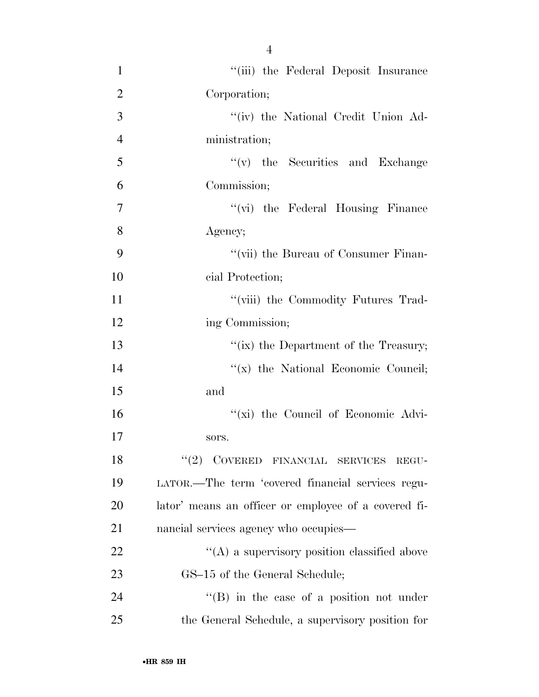1 ''(iii) the Federal Deposit Insurance 2 Corporation; 3 ''(iv) the National Credit Union Ad-4 ministration; 5 ''(v) the Securities and Exchange 6 Commission; 7 "(vi) the Federal Housing Finance 8 Agency; 9 ''(vii) the Bureau of Consumer Finan-10 cial Protection; 11 ''(viii) the Commodity Futures Trad-12 ing Commission; 13 ''(ix) the Department of the Treasury; 14  $''(x)$  the National Economic Council; 15 and 16 ''(xi) the Council of Economic Advi-17 sors. 18 "(2) COVERED FINANCIAL SERVICES REGU-19 LATOR.—The term 'covered financial services regu-20 lator' means an officer or employee of a covered fi-21 nancial services agency who occupies— 22  $\langle (A)$  a supervisory position classified above 23 GS–15 of the General Schedule; 24 ''(B) in the case of a position not under

25 the General Schedule, a supervisory position for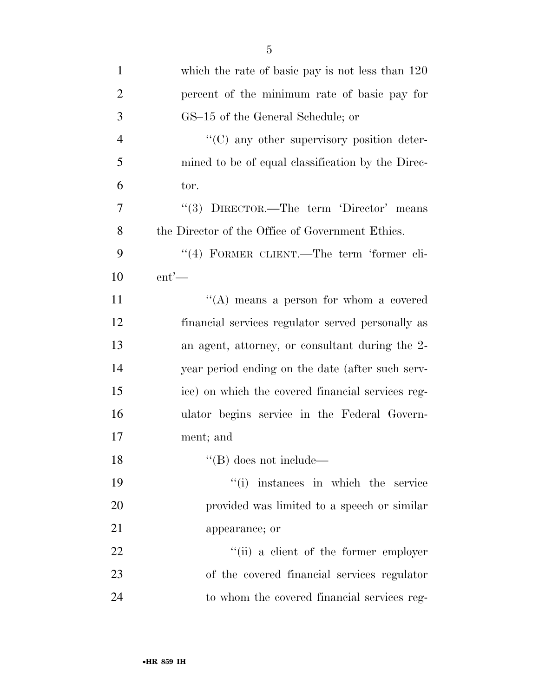| $\mathbf{1}$   | which the rate of basic pay is not less than $120$ |
|----------------|----------------------------------------------------|
| $\overline{2}$ | percent of the minimum rate of basic pay for       |
| 3              | GS-15 of the General Schedule; or                  |
| $\overline{4}$ | "(C) any other supervisory position deter-         |
| 5              | mined to be of equal classification by the Direc-  |
| 6              | tor.                                               |
| 7              | "(3) DIRECTOR.—The term 'Director' means           |
| 8              | the Director of the Office of Government Ethics.   |
| 9              | "(4) FORMER CLIENT.—The term 'former cli-          |
| 10             | $ent'$ —                                           |
| 11             | "(A) means a person for whom a covered             |
| 12             | financial services regulator served personally as  |
| 13             | an agent, attorney, or consultant during the 2-    |
| 14             | year period ending on the date (after such serv-   |
| 15             | ice) on which the covered financial services reg-  |
| 16             | ulator begins service in the Federal Govern-       |
| 17             | ment; and                                          |
| 18             | $\lq\lq (B)$ does not include—                     |
| 19             | ``(i)<br>instances in which the service            |
| 20             | provided was limited to a speech or similar        |
| 21             | appearance; or                                     |
| 22             | "(ii) a client of the former employer              |
| 23             | of the covered financial services regulator        |
| 24             | to whom the covered financial services reg-        |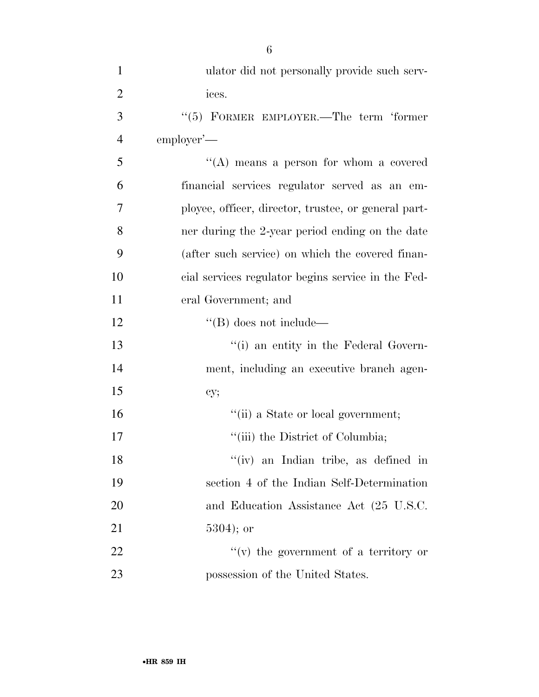| $\mathbf{1}$   | ulator did not personally provide such serv-         |
|----------------|------------------------------------------------------|
| $\overline{2}$ | ices.                                                |
| 3              | "(5) FORMER EMPLOYER.—The term 'former               |
| 4              | employer'—                                           |
| 5              | "(A) means a person for whom a covered               |
| 6              | financial services regulator served as an em-        |
| 7              | ployee, officer, director, trustee, or general part- |
| 8              | ner during the 2-year period ending on the date      |
| 9              | (after such service) on which the covered finan-     |
| 10             | cial services regulator begins service in the Fed-   |
| 11             | eral Government; and                                 |
| 12             | $\lq\lq$ (B) does not include—                       |
| 13             | "(i) an entity in the Federal Govern-                |
| 14             | ment, including an executive branch agen-            |
| 15             | cy;                                                  |
| 16             | "(ii) a State or local government;                   |
| 17             | "(iii) the District of Columbia;                     |
| 18             | "(iv) an Indian tribe, as defined in                 |
| 19             | section 4 of the Indian Self-Determination           |
| 20             | and Education Assistance Act (25 U.S.C.              |
| 21             | $5304$ ; or                                          |
| 22             | $``(v)$ the government of a territory or             |
| 23             | possession of the United States.                     |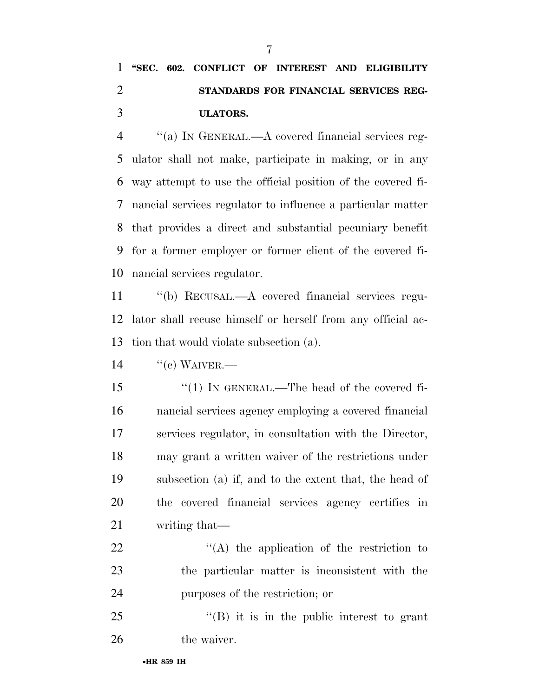## **''SEC. 602. CONFLICT OF INTEREST AND ELIGIBILITY STANDARDS FOR FINANCIAL SERVICES REG-ULATORS.**

 ''(a) IN GENERAL.—A covered financial services reg- ulator shall not make, participate in making, or in any way attempt to use the official position of the covered fi- nancial services regulator to influence a particular matter that provides a direct and substantial pecuniary benefit for a former employer or former client of the covered fi-nancial services regulator.

 ''(b) RECUSAL.—A covered financial services regu- lator shall recuse himself or herself from any official ac-tion that would violate subsection (a).

 $14 \qquad \text{``(c) WAVER.}$ 

 ''(1) IN GENERAL.—The head of the covered fi- nancial services agency employing a covered financial services regulator, in consultation with the Director, may grant a written waiver of the restrictions under subsection (a) if, and to the extent that, the head of the covered financial services agency certifies in writing that—

22  $\langle (A)$  the application of the restriction to the particular matter is inconsistent with the purposes of the restriction; or

 "(B) it is in the public interest to grant 26 the waiver.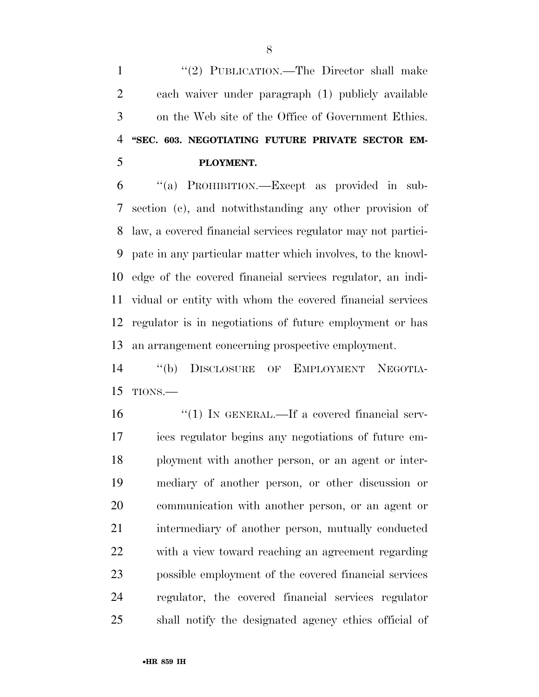1 "(2) PUBLICATION.—The Director shall make each waiver under paragraph (1) publicly available on the Web site of the Office of Government Ethics. **''SEC. 603. NEGOTIATING FUTURE PRIVATE SECTOR EM-PLOYMENT.** 

 ''(a) PROHIBITION.—Except as provided in sub- section (c), and notwithstanding any other provision of law, a covered financial services regulator may not partici- pate in any particular matter which involves, to the knowl- edge of the covered financial services regulator, an indi- vidual or entity with whom the covered financial services regulator is in negotiations of future employment or has an arrangement concerning prospective employment.

 ''(b) DISCLOSURE OF EMPLOYMENT NEGOTIA-TIONS.—

 $\frac{1}{1}$  IN GENERAL.—If a covered financial serv- ices regulator begins any negotiations of future em- ployment with another person, or an agent or inter- mediary of another person, or other discussion or communication with another person, or an agent or 21 intermediary of another person, mutually conducted with a view toward reaching an agreement regarding possible employment of the covered financial services regulator, the covered financial services regulator shall notify the designated agency ethics official of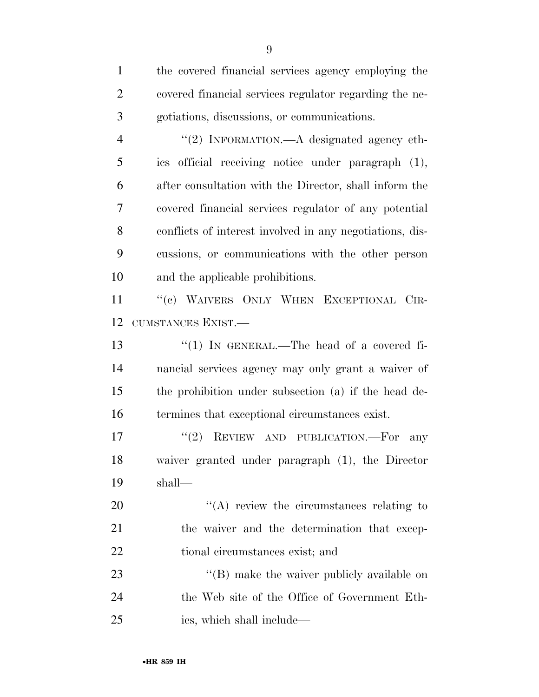| $\mathbf{1}$   | the covered financial services agency employing the      |
|----------------|----------------------------------------------------------|
| $\overline{2}$ | covered financial services regulator regarding the ne-   |
| 3              | gotiations, discussions, or communications.              |
| $\overline{4}$ | "(2) INFORMATION.—A designated agency eth-               |
| 5              | ics official receiving notice under paragraph (1),       |
| 6              | after consultation with the Director, shall inform the   |
| 7              | covered financial services regulator of any potential    |
| 8              | conflicts of interest involved in any negotiations, dis- |
| 9              | cussions, or communications with the other person        |
| 10             | and the applicable prohibitions.                         |
| 11             | "(c) WAIVERS ONLY WHEN EXCEPTIONAL CIR-                  |
| 12             | CUMSTANCES EXIST.                                        |
| 13             | "(1) IN GENERAL.—The head of a covered fi-               |
| 14             | nancial services agency may only grant a waiver of       |
| 15             | the prohibition under subsection (a) if the head de-     |
| 16             | termines that exceptional circumstances exist.           |
| 17             | (2)<br>REVIEW AND PUBLICATION.—For<br>any                |
| 18             | waiver granted under paragraph (1), the Director         |
| 19             | shall—                                                   |
| 20             | $\lq\lq$ review the circumstances relating to            |
| 21             | the waiver and the determination that excep-             |
| 22             | tional circumstances exist; and                          |
| 23             | $\lq\lq$ (B) make the waiver publicly available on       |
| 24             | the Web site of the Office of Government Eth-            |
| 25             | ics, which shall include—                                |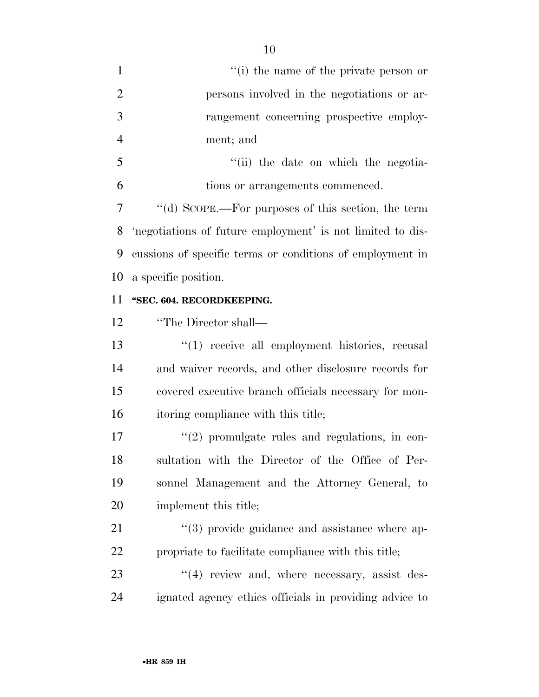| $\mathbf{1}$   | "(i) the name of the private person or                     |
|----------------|------------------------------------------------------------|
| $\overline{2}$ | persons involved in the negotiations or ar-                |
| 3              | rangement concerning prospective employ-                   |
| $\overline{4}$ | ment; and                                                  |
| 5              | "(ii) the date on which the negotia-                       |
| 6              | tions or arrangements commenced.                           |
| 7              | "(d) SCOPE.—For purposes of this section, the term         |
| 8              | 'negotiations of future employment' is not limited to dis- |
| 9              | cussions of specific terms or conditions of employment in  |
| 10             | a specific position.                                       |
| 11             | "SEC. 604. RECORDKEEPING.                                  |
| 12             | "The Director shall—                                       |
| 13             | $(1)$ receive all employment histories, recusal            |
| 14             | and waiver records, and other disclosure records for       |
| 15             | covered executive branch officials necessary for mon-      |
| 16             | itoring compliance with this title;                        |
| 17             | $\lq(2)$ promulgate rules and regulations, in con-         |
| 18             | sultation with the Director of the Office of Per-          |
| 19             | sonnel Management and the Attorney General, to             |
| 20             | implement this title;                                      |
| 21             | $\lq(3)$ provide guidance and assistance where ap-         |
| 22             | propriate to facilitate compliance with this title;        |
| 23             | $\cdot$ (4) review and, where necessary, assist des-       |
| 24             | ignated agency ethics officials in providing advice to     |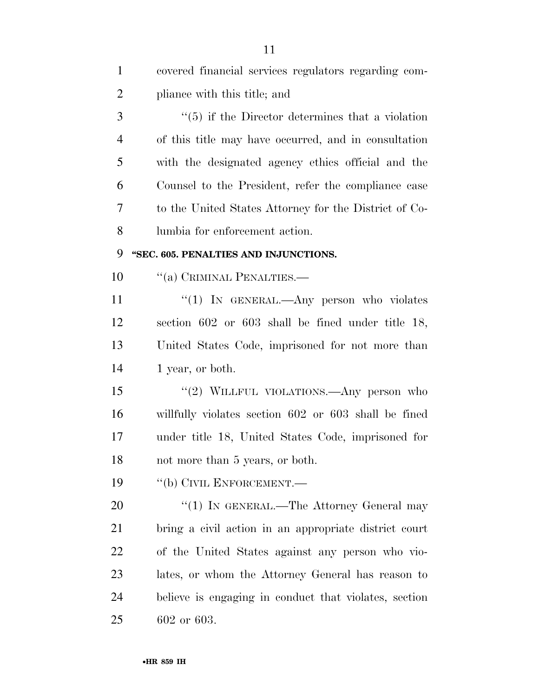| $\mathbf{1}$   | covered financial services regulators regarding com-    |
|----------------|---------------------------------------------------------|
| $\overline{2}$ | pliance with this title; and                            |
| 3              | $\cdot$ (5) if the Director determines that a violation |
| $\overline{4}$ | of this title may have occurred, and in consultation    |
| 5              | with the designated agency ethics official and the      |
| 6              | Counsel to the President, refer the compliance case     |
| 7              | to the United States Attorney for the District of Co-   |
| 8              | lumbia for enforcement action.                          |
| 9              | "SEC. 605. PENALTIES AND INJUNCTIONS.                   |
| 10             | "(a) CRIMINAL PENALTIES.—                               |
| 11             | "(1) IN GENERAL.—Any person who violates                |
| 12             | section $602$ or $603$ shall be fined under title 18,   |
| 13             | United States Code, imprisoned for not more than        |
| 14             | 1 year, or both.                                        |
| 15             | "(2) WILLFUL VIOLATIONS.—Any person who                 |
| 16             | willfully violates section 602 or 603 shall be fined    |
| 17             | under title 18, United States Code, imprisoned for      |
| 18             | not more than 5 years, or both.                         |
| 19             | "(b) CIVIL ENFORCEMENT.—                                |
| 20             | "(1) IN GENERAL.—The Attorney General may               |
| 21             | bring a civil action in an appropriate district court   |
| 22             | of the United States against any person who vio-        |
| 23             | lates, or whom the Attorney General has reason to       |
| 24             | believe is engaging in conduct that violates, section   |
| 25             | 602 or 603.                                             |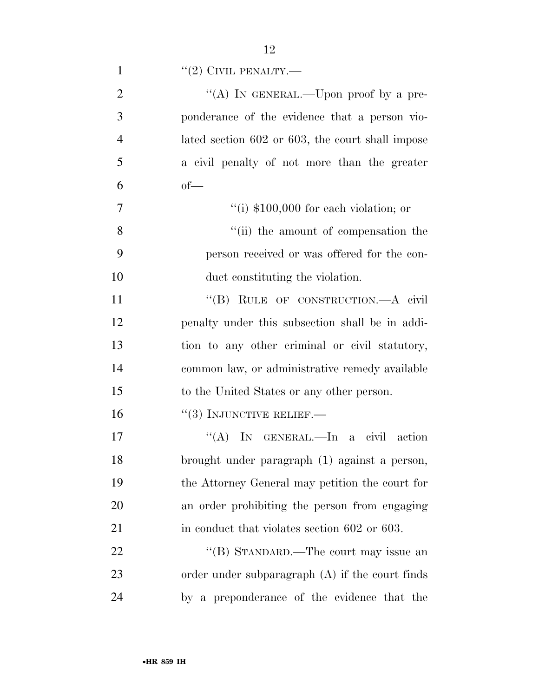| $\mathbf{1}$   | $``(2)$ CIVIL PENALTY.—                           |
|----------------|---------------------------------------------------|
| $\overline{2}$ | "(A) IN GENERAL.—Upon proof by a pre-             |
| 3              | ponderance of the evidence that a person vio-     |
| $\overline{4}$ | lated section 602 or 603, the court shall impose  |
| 5              | a civil penalty of not more than the greater      |
| 6              | $of$ —                                            |
| 7              | "(i) $$100,000$ for each violation; or            |
| 8              | "(ii) the amount of compensation the              |
| 9              | person received or was offered for the con-       |
| 10             | duct constituting the violation.                  |
| 11             | "(B) RULE OF CONSTRUCTION.—A civil                |
| 12             | penalty under this subsection shall be in addi-   |
| 13             | tion to any other criminal or civil statutory,    |
| 14             | common law, or administrative remedy available    |
| 15             | to the United States or any other person.         |
| 16             | $``(3)$ INJUNCTIVE RELIEF.—                       |
| 17             | "(A) IN GENERAL.—In a civil action                |
| 18             | brought under paragraph (1) against a person,     |
| 19             | the Attorney General may petition the court for   |
| 20             | an order prohibiting the person from engaging     |
| 21             | in conduct that violates section 602 or 603.      |
| 22             | "(B) STANDARD.—The court may issue an             |
| 23             | order under subparagraph $(A)$ if the court finds |
| 24             | by a preponderance of the evidence that the       |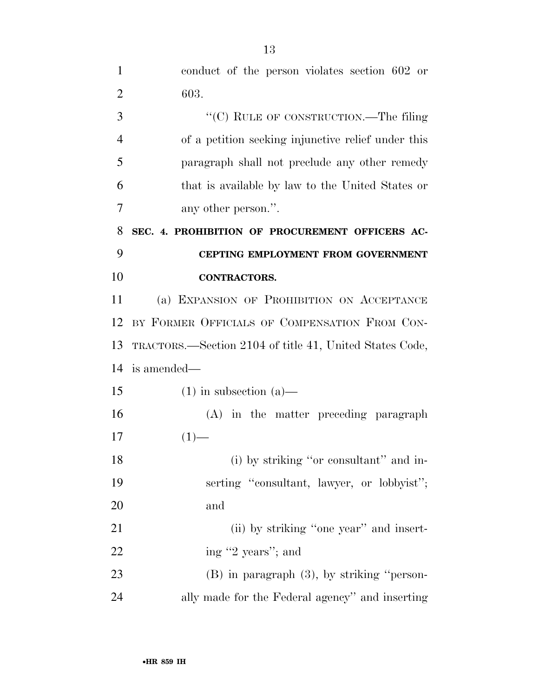| $\mathbf{1}$   | conduct of the person violates section 602 or           |
|----------------|---------------------------------------------------------|
| $\overline{2}$ | 603.                                                    |
| 3              | "(C) RULE OF CONSTRUCTION.—The filing                   |
| $\overline{4}$ | of a petition seeking injunctive relief under this      |
| 5              | paragraph shall not preclude any other remedy           |
| 6              | that is available by law to the United States or        |
| 7              | any other person.".                                     |
| 8              | SEC. 4. PROHIBITION OF PROCUREMENT OFFICERS AC-         |
| 9              | CEPTING EMPLOYMENT FROM GOVERNMENT                      |
| 10             | <b>CONTRACTORS.</b>                                     |
| 11             | (a) EXPANSION OF PROHIBITION ON ACCEPTANCE              |
| 12             | BY FORMER OFFICIALS OF COMPENSATION FROM CON-           |
| 13             | TRACTORS.—Section 2104 of title 41, United States Code, |
| 14             | is amended—                                             |
| 15             | $(1)$ in subsection $(a)$ —                             |
| 16             | (A) in the matter preceding paragraph                   |
| 17             | $(1)$ —                                                 |
| 18             | (i) by striking "or consultant" and in-                 |
| 19             | serting "consultant, lawyer, or lobbyist";              |
| 20             | and                                                     |
| 21             | (ii) by striking "one year" and insert-                 |
| 22             | ing "2 years"; and                                      |
| 23             | $(B)$ in paragraph $(3)$ , by striking "person-         |
| 24             | ally made for the Federal agency" and inserting         |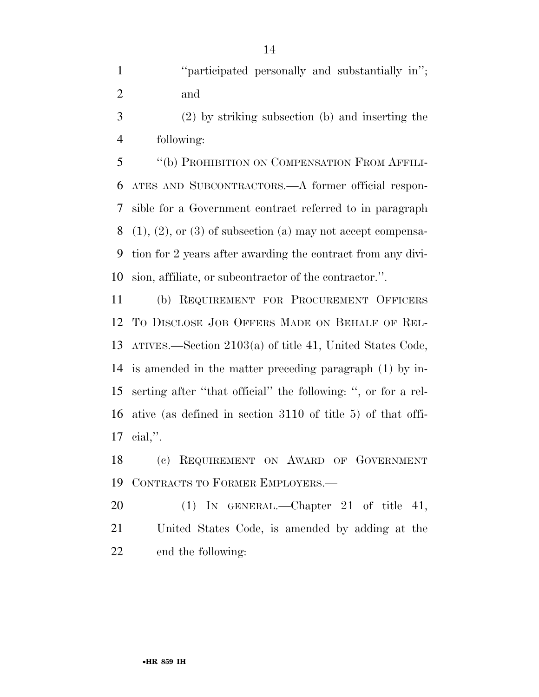1 "'' 'varticipated personally and substantially in''; and

 (2) by striking subsection (b) and inserting the following:

 ''(b) PROHIBITION ON COMPENSATION FROM AFFILI- ATES AND SUBCONTRACTORS.—A former official respon- sible for a Government contract referred to in paragraph (1), (2), or (3) of subsection (a) may not accept compensa- tion for 2 years after awarding the contract from any divi-sion, affiliate, or subcontractor of the contractor.''.

 (b) REQUIREMENT FOR PROCUREMENT OFFICERS TO DISCLOSE JOB OFFERS MADE ON BEHALF OF REL- ATIVES.—Section 2103(a) of title 41, United States Code, is amended in the matter preceding paragraph (1) by in- serting after ''that official'' the following: '', or for a rel- ative (as defined in section 3110 of title 5) of that offi-cial,''.

 (c) REQUIREMENT ON AWARD OF GOVERNMENT CONTRACTS TO FORMER EMPLOYERS.—

20 (1) IN GENERAL.—Chapter 21 of title 41, United States Code, is amended by adding at the end the following: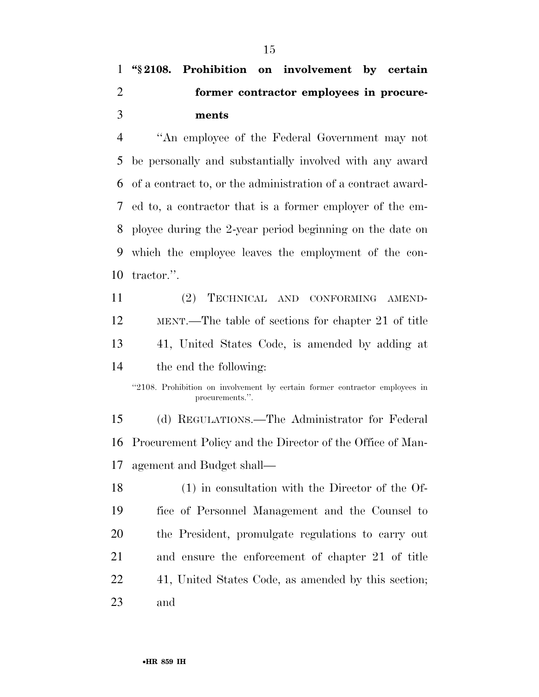## **''§ 2108. Prohibition on involvement by certain former contractor employees in procure-ments**

 ''An employee of the Federal Government may not be personally and substantially involved with any award of a contract to, or the administration of a contract award- ed to, a contractor that is a former employer of the em- ployee during the 2-year period beginning on the date on which the employee leaves the employment of the con-tractor.''.

 (2) TECHNICAL AND CONFORMING AMEND- MENT.—The table of sections for chapter 21 of title 41, United States Code, is amended by adding at the end the following:

 (d) REGULATIONS.—The Administrator for Federal Procurement Policy and the Director of the Office of Man-agement and Budget shall—

 (1) in consultation with the Director of the Of- fice of Personnel Management and the Counsel to the President, promulgate regulations to carry out and ensure the enforcement of chapter 21 of title 41, United States Code, as amended by this section; and

<sup>&#</sup>x27;'2108. Prohibition on involvement by certain former contractor employees in procurements.''.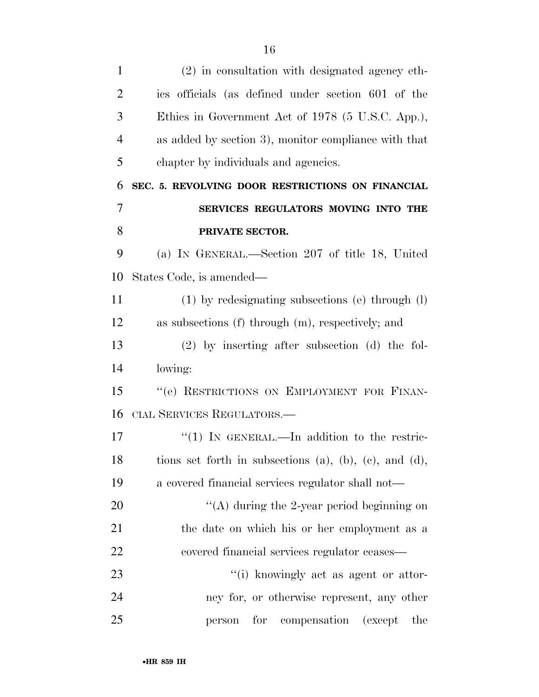| $\mathbf{1}$   | (2) in consultation with designated agency eth-        |
|----------------|--------------------------------------------------------|
| $\overline{2}$ | ics officials (as defined under section 601 of the     |
| 3              | Ethics in Government Act of 1978 (5 U.S.C. App.),      |
| $\overline{4}$ | as added by section 3), monitor compliance with that   |
| 5              | chapter by individuals and agencies.                   |
| 6              | SEC. 5. REVOLVING DOOR RESTRICTIONS ON FINANCIAL       |
| 7              | SERVICES REGULATORS MOVING INTO THE                    |
| 8              | PRIVATE SECTOR.                                        |
| 9              | (a) IN GENERAL.—Section 207 of title 18, United        |
| 10             | States Code, is amended—                               |
| 11             | $(1)$ by redesignating subsections (e) through $(l)$   |
| 12             | as subsections (f) through (m), respectively; and      |
| 13             | $(2)$ by inserting after subsection (d) the fol-       |
| 14             | lowing:                                                |
| 15             | "(e) RESTRICTIONS ON EMPLOYMENT FOR FINAN-             |
| 16             | CIAL SERVICES REGULATORS.-                             |
| 17             | "(1) IN GENERAL.—In addition to the restric-           |
| 18             | tions set forth in subsections (a), (b), (c), and (d), |
| 19             | a covered financial services regulator shall not—      |
| 20             | "(A) during the 2-year period beginning on             |
| 21             | the date on which his or her employment as a           |
| 22             | covered financial services regulator ceases—           |
| 23             | "(i) knowingly act as agent or attor-                  |
| 24             | ney for, or otherwise represent, any other             |
| 25             | for compensation (except<br>the<br>person              |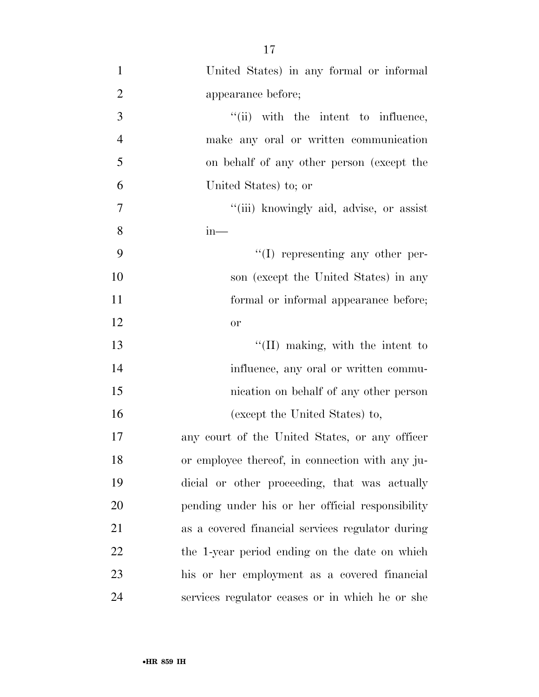United States) in any formal or informal appearance before;  $''(ii)$  with the intent to influence, make any oral or written communication on behalf of any other person (except the United States) to; or ''(iii) knowingly aid, advise, or assist in—  $\frac{4}{1}$  representing any other per- son (except the United States) in any formal or informal appearance before; or 13 ''(II) making, with the intent to 14 influence, any oral or written commu- nication on behalf of any other person (except the United States) to, any court of the United States, or any officer or employee thereof, in connection with any ju- dicial or other proceeding, that was actually pending under his or her official responsibility

as a covered financial services regulator during

22 the 1-year period ending on the date on which

his or her employment as a covered financial

services regulator ceases or in which he or she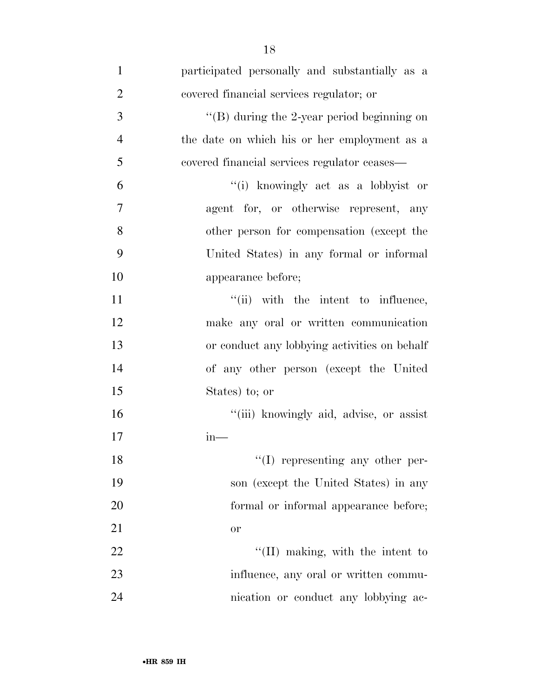| $\mathbf{1}$   | participated personally and substantially as a |
|----------------|------------------------------------------------|
| $\overline{2}$ | covered financial services regulator; or       |
| 3              | "(B) during the 2-year period beginning on     |
| $\overline{4}$ | the date on which his or her employment as a   |
| 5              | covered financial services regulator ceases—   |
| 6              | "(i) knowingly act as a lobbyist or            |
| 7              | agent for, or otherwise represent, any         |
| 8              | other person for compensation (except the      |
| 9              | United States) in any formal or informal       |
| 10             | appearance before;                             |
| 11             | "(ii) with the intent to influence,            |
| 12             | make any oral or written communication         |
| 13             | or conduct any lobbying activities on behalf   |
| 14             | of any other person (except the United         |
| 15             | States) to; or                                 |
| 16             | "(iii) knowingly aid, advise, or assist        |
| 17             | $in-$                                          |
| 18             | $\lq\lq$ representing any other per-           |
| 19             | son (except the United States) in any          |
| 20             | formal or informal appearance before;          |
| 21             | or                                             |
| 22             | $\lq\lq$ (II) making, with the intent to       |
| 23             | influence, any oral or written commu-          |
| 24             | nication or conduct any lobbying ac-           |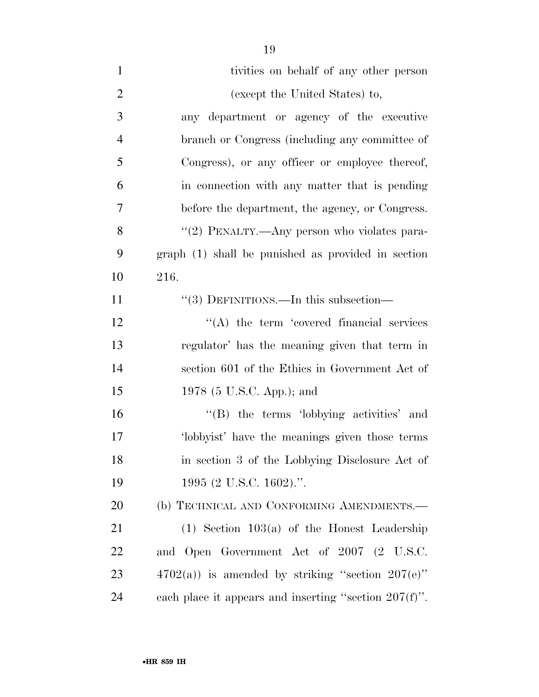| $\mathbf{1}$   | tivities on behalf of any other person                   |
|----------------|----------------------------------------------------------|
| $\overline{2}$ | (except the United States) to,                           |
| 3              | any department or agency of the executive                |
| $\overline{4}$ | branch or Congress (including any committee of           |
| 5              | Congress), or any officer or employee thereof,           |
| 6              | in connection with any matter that is pending            |
| 7              | before the department, the agency, or Congress.          |
| 8              | "(2) PENALTY.—Any person who violates para-              |
| 9              | $graph(1)$ shall be punished as provided in section      |
| 10             | 216.                                                     |
| 11             | $\cdot\cdot(3)$ DEFINITIONS.—In this subsection—         |
| 12             | $\lq\lq$ the term 'covered financial services            |
| 13             | regulator' has the meaning given that term in            |
| 14             | section 601 of the Ethics in Government Act of           |
| 15             | 1978 (5 U.S.C. App.); and                                |
| 16             | "(B) the terms 'lobbying activities' and                 |
| 17             | 'lobbyist' have the meanings given those terms           |
| 18             | in section 3 of the Lobbying Disclosure Act of           |
| 19             | 1995 (2 U.S.C. 1602).".                                  |
| 20             | (b) TECHNICAL AND CONFORMING AMENDMENTS.-                |
| 21             | $(1)$ Section 103 $(a)$ of the Honest Leadership         |
| 22             | and Open Government Act of 2007 (2 U.S.C.                |
| 23             | $4702(a)$ ) is amended by striking "section $207(e)$ "   |
| 24             | each place it appears and inserting "section $207(f)$ ". |
|                |                                                          |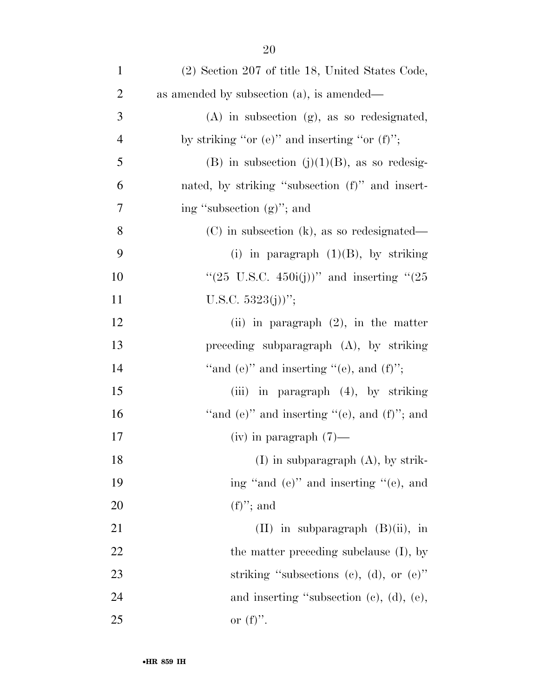| $\mathbf{1}$   | $(2)$ Section 207 of title 18, United States Code,    |
|----------------|-------------------------------------------------------|
| $\overline{c}$ | as amended by subsection $(a)$ , is amended—          |
| 3              | $(A)$ in subsection $(g)$ , as so redesignated,       |
| $\overline{4}$ | by striking "or $(e)$ " and inserting "or $(f)$ ";    |
| 5              | (B) in subsection $(j)(1)(B)$ , as so redesig-        |
| 6              | nated, by striking "subsection (f)" and insert-       |
| $\tau$         | ing "subsection (g)"; and                             |
| 8              | $(C)$ in subsection $(k)$ , as so redesignated—       |
| 9              | (i) in paragraph $(1)(B)$ , by striking               |
| 10             | "(25 U.S.C. 450i(j))" and inserting "(25              |
| 11             | U.S.C. $5323(j)$ ";                                   |
| 12             | (ii) in paragraph $(2)$ , in the matter               |
| 13             | preceding subparagraph $(A)$ , by striking            |
| 14             | "and $(e)$ " and inserting " $(e)$ , and $(f)$ ";     |
| 15             | (iii) in paragraph $(4)$ , by striking                |
| 16             | "and $(e)$ " and inserting " $(e)$ , and $(f)$ "; and |
| 17             | $(iv)$ in paragraph $(7)$ —                           |
| 18             | $(I)$ in subparagraph $(A)$ , by strik-               |
| 19             | ing "and (e)" and inserting "(e), and                 |
| 20             | $(f)$ "; and                                          |
| 21             | $(II)$ in subparagraph $(B)(ii)$ , in                 |
| 22             | the matter preceding subclause (I), by                |
| 23             | striking "subsections (c), (d), or $(e)$ "            |
| 24             | and inserting "subsection $(e)$ , $(d)$ , $(e)$ ,     |
| 25             | or $(f)$ .                                            |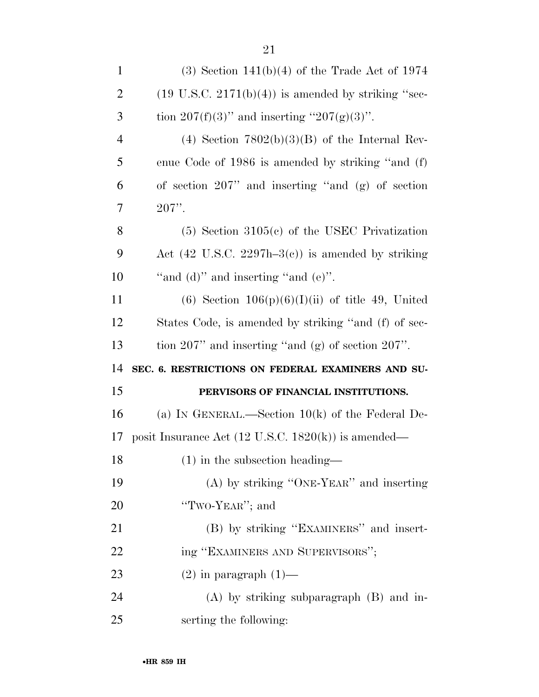| $\mathbf{1}$   | $(3)$ Section 141(b)(4) of the Trade Act of 1974               |
|----------------|----------------------------------------------------------------|
| $\overline{2}$ | $(19 \text{ U.S.C. } 2171(b)(4))$ is amended by striking "sec- |
| 3              | tion $207(f)(3)$ " and inserting " $207(g)(3)$ ".              |
| $\overline{4}$ | (4) Section $7802(b)(3)(B)$ of the Internal Rev-               |
| 5              | enue Code of 1986 is amended by striking "and (f)              |
| 6              | of section $207$ " and inserting "and (g) of section           |
| 7              | $207$ ".                                                       |
| 8              | $(5)$ Section 3105 $(e)$ of the USEC Privatization             |
| 9              | Act $(42 \text{ U.S.C. } 2297h-3(c))$ is amended by striking   |
| 10             | "and $(d)$ " and inserting "and $(e)$ ".                       |
| 11             | (6) Section $106(p)(6)(I)(ii)$ of title 49, United             |
| 12             | States Code, is amended by striking "and (f) of sec-           |
|                |                                                                |
| 13             | tion $207$ " and inserting "and (g) of section $207$ ".        |
| 14             | SEC. 6. RESTRICTIONS ON FEDERAL EXAMINERS AND SU-              |
| 15             | PERVISORS OF FINANCIAL INSTITUTIONS.                           |
| 16             | (a) IN GENERAL.—Section $10(k)$ of the Federal De-             |
| 17             | posit Insurance Act $(12 \text{ U.S.C. } 1820(k))$ is amended— |
| 18             | $(1)$ in the subsection heading—                               |
| 19             | (A) by striking "ONE-YEAR" and inserting                       |
| 20             | "TWO-YEAR"; and                                                |
| 21             | (B) by striking "EXAMINERS" and insert-                        |
| 22             | ing "EXAMINERS AND SUPERVISORS";                               |
| 23             | $(2)$ in paragraph $(1)$ —                                     |
| 24             | $(A)$ by striking subparagraph $(B)$ and in-                   |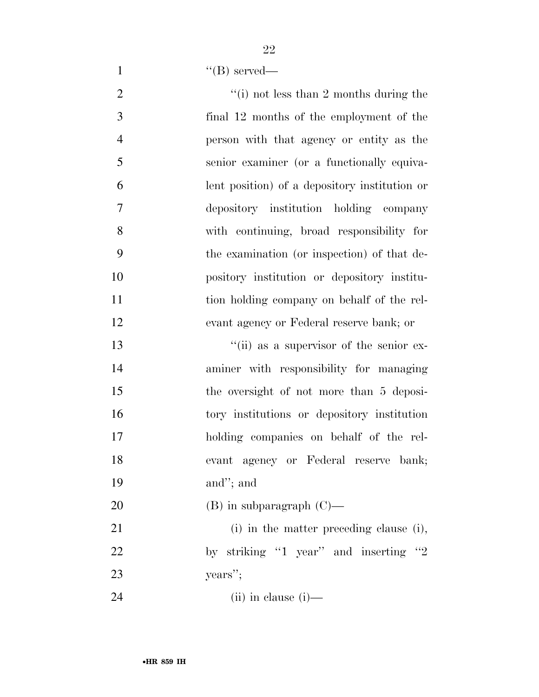1  $"({\rm B})$  served—

 $\frac{1}{2}$  (i) not less than 2 months during the final 12 months of the employment of the person with that agency or entity as the senior examiner (or a functionally equiva- lent position) of a depository institution or depository institution holding company with continuing, broad responsibility for the examination (or inspection) of that de- pository institution or depository institu-11 tion holding company on behalf of the rel-evant agency or Federal reserve bank; or

 ''(ii) as a supervisor of the senior ex- aminer with responsibility for managing the oversight of not more than 5 deposi- tory institutions or depository institution holding companies on behalf of the rel- evant agency or Federal reserve bank; and''; and

(B) in subparagraph (C)—

21 (i) in the matter preceding clause (i), 22 by striking "1 year" and inserting "2 years'';

(ii) in clause (i)—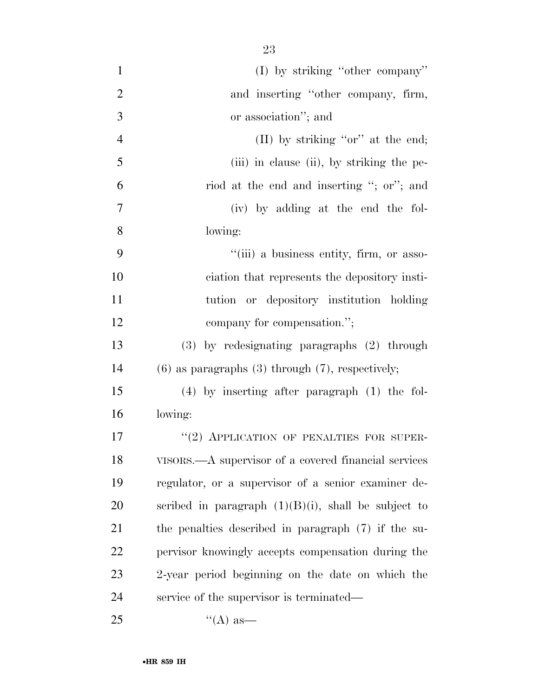| $\mathbf{1}$   | $(I)$ by striking "other company"                       |
|----------------|---------------------------------------------------------|
| $\overline{2}$ | and inserting "other company, firm,                     |
| 3              | or association"; and                                    |
| $\overline{4}$ | (II) by striking "or" at the end;                       |
| 5              | (iii) in clause (ii), by striking the pe-               |
| 6              | riod at the end and inserting "; or"; and               |
| $\overline{7}$ | (iv) by adding at the end the fol-                      |
| 8              | lowing:                                                 |
| 9              | "(iii) a business entity, firm, or asso-                |
| 10             | ciation that represents the depository insti-           |
| 11             | tution or depository institution holding                |
| 12             | company for compensation.";                             |
| 13             | (3) by redesignating paragraphs (2) through             |
| 14             | $(6)$ as paragraphs $(3)$ through $(7)$ , respectively; |
| 15             | $(4)$ by inserting after paragraph $(1)$ the fol-       |
| 16             | lowing:                                                 |
| 17             | "(2) APPLICATION OF PENALTIES FOR SUPER-                |
| 18             | VISORS.—A supervisor of a covered financial services    |
| 19             | regulator, or a supervisor of a senior examiner de-     |
| 20             | scribed in paragraph $(1)(B)(i)$ , shall be subject to  |
| 21             | the penalties described in paragraph (7) if the su-     |
| 22             | pervisor knowingly accepts compensation during the      |
| 23             | 2-year period beginning on the date on which the        |
| 24             | service of the supervisor is terminated—                |
| 25             | $\lq\lq (A)$ as —                                       |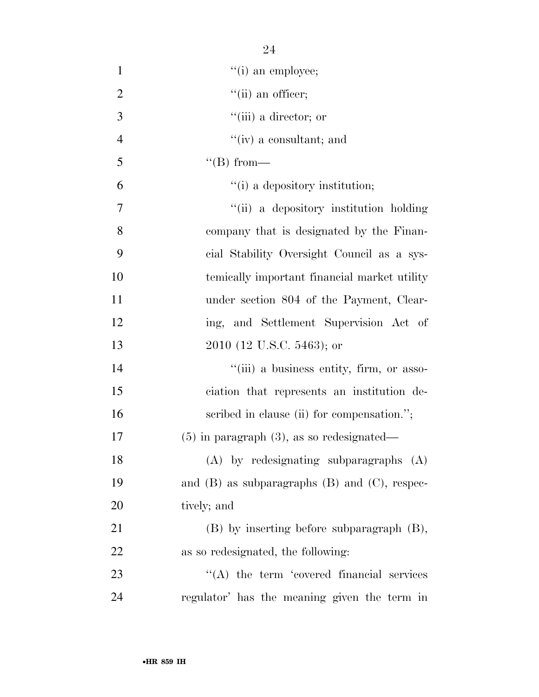| $\mathbf{1}$   | $"(i)$ an employee;                                  |
|----------------|------------------------------------------------------|
| $\overline{2}$ | $"$ (ii) an officer;                                 |
| 3              | $``(iii)$ a director; or                             |
| $\overline{4}$ | $f'(iv)$ a consultant; and                           |
| 5              | $\lq\lq (B) from$ —                                  |
| 6              | "(i) a depository institution;                       |
| 7              | "(ii) a depository institution holding               |
| 8              | company that is designated by the Finan-             |
| 9              | cial Stability Oversight Council as a sys-           |
| 10             | temically important financial market utility         |
| 11             | under section 804 of the Payment, Clear-             |
| 12             | ing, and Settlement Supervision Act of               |
| 13             | 2010 (12 U.S.C. 5463); or                            |
| 14             | "(iii) a business entity, firm, or asso-             |
| 15             | ciation that represents an institution de-           |
| 16             | scribed in clause (ii) for compensation.";           |
| 17             | $(5)$ in paragraph $(3)$ , as so redesignated—       |
| 18             | $(A)$ by redesignating subparagraphs $(A)$           |
| 19             | and $(B)$ as subparagraphs $(B)$ and $(C)$ , respec- |
| 20             | tively; and                                          |
| 21             | $(B)$ by inserting before subparagraph $(B)$ ,       |
| 22             | as so redesignated, the following:                   |
| 23             | $\lq\lq$ the term 'covered financial services        |
| 24             | regulator' has the meaning given the term in         |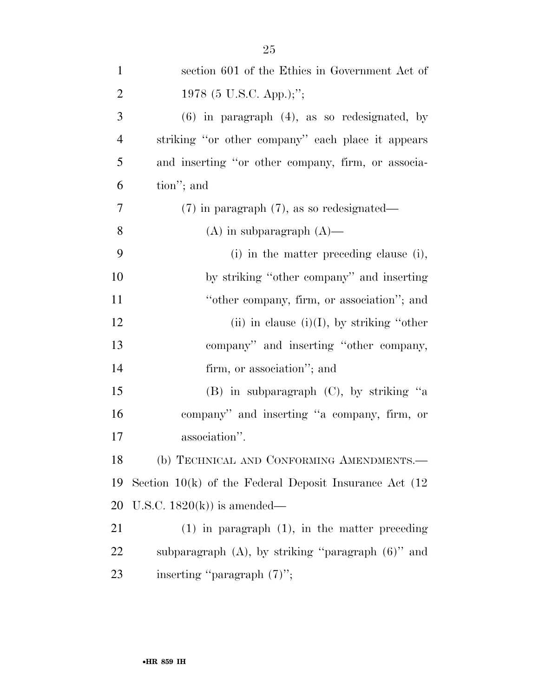| $\mathbf{1}$   | section 601 of the Ethics in Government Act of              |
|----------------|-------------------------------------------------------------|
| $\overline{2}$ | 1978 (5 U.S.C. App.);";                                     |
| 3              | $(6)$ in paragraph $(4)$ , as so redesignated, by           |
| $\overline{4}$ | striking "or other company" each place it appears           |
| 5              | and inserting "or other company, firm, or associa-          |
| 6              | tion"; and                                                  |
| 7              | $(7)$ in paragraph $(7)$ , as so redesignated—              |
| 8              | $(A)$ in subparagraph $(A)$ —                               |
| 9              | (i) in the matter preceding clause (i),                     |
| 10             | by striking "other company" and inserting                   |
| 11             | "other company, firm, or association"; and                  |
| 12             | (ii) in clause $(i)(I)$ , by striking "other                |
| 13             | company" and inserting "other company,                      |
| 14             | firm, or association"; and                                  |
| 15             | $(B)$ in subparagraph $(C)$ , by striking "a                |
| 16             | company" and inserting "a company, firm, or                 |
| 17             | association".                                               |
| 18             | (b) TECHNICAL AND CONFORMING AMENDMENTS.-                   |
| 19             | Section $10(k)$ of the Federal Deposit Insurance Act $(12)$ |
| 20             | U.S.C. $1820(k)$ is amended—                                |
| 21             | $(1)$ in paragraph $(1)$ , in the matter preceding          |
| 22             | subparagraph $(A)$ , by striking "paragraph $(6)$ " and     |
| 23             | inserting "paragraph $(7)$ ";                               |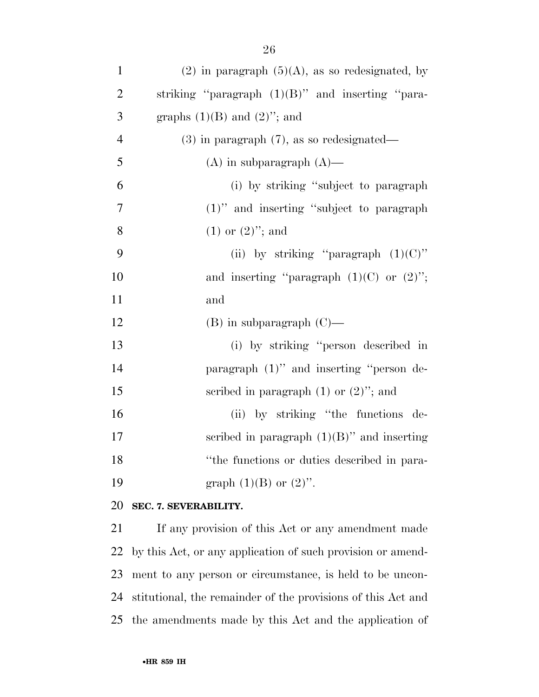| $\mathbf{1}$   | $(2)$ in paragraph $(5)(A)$ , as so redesignated, by |
|----------------|------------------------------------------------------|
| $\overline{2}$ | striking "paragraph $(1)(B)$ " and inserting "para-  |
| 3              | graphs $(1)(B)$ and $(2)$ "; and                     |
| $\overline{4}$ | $(3)$ in paragraph $(7)$ , as so redesignated—       |
| 5              | $(A)$ in subparagraph $(A)$ —                        |
| 6              | (i) by striking "subject to paragraph"               |
| $\overline{7}$ | $(1)$ " and inserting "subject to paragraph"         |
| 8              | $(1)$ or $(2)$ "; and                                |
| 9              | (ii) by striking "paragraph $(1)(C)$ "               |
| 10             | and inserting "paragraph $(1)(C)$ or $(2)$ ";        |
| 11             | and                                                  |
| 12             | $(B)$ in subparagraph $(C)$ —                        |
| 13             | (i) by striking "person described in                 |
| 14             | paragraph (1)" and inserting "person de-             |
| 15             | scribed in paragraph $(1)$ or $(2)$ "; and           |
| 16             | (ii) by striking "the functions de-                  |
| 17             | scribed in paragraph $(1)(B)$ " and inserting        |
| 18             | "the functions or duties described in para-          |
| 19             | graph $(1)(B)$ or $(2)$ ".                           |

### **SEC. 7. SEVERABILITY.**

 If any provision of this Act or any amendment made by this Act, or any application of such provision or amend- ment to any person or circumstance, is held to be uncon- stitutional, the remainder of the provisions of this Act and the amendments made by this Act and the application of